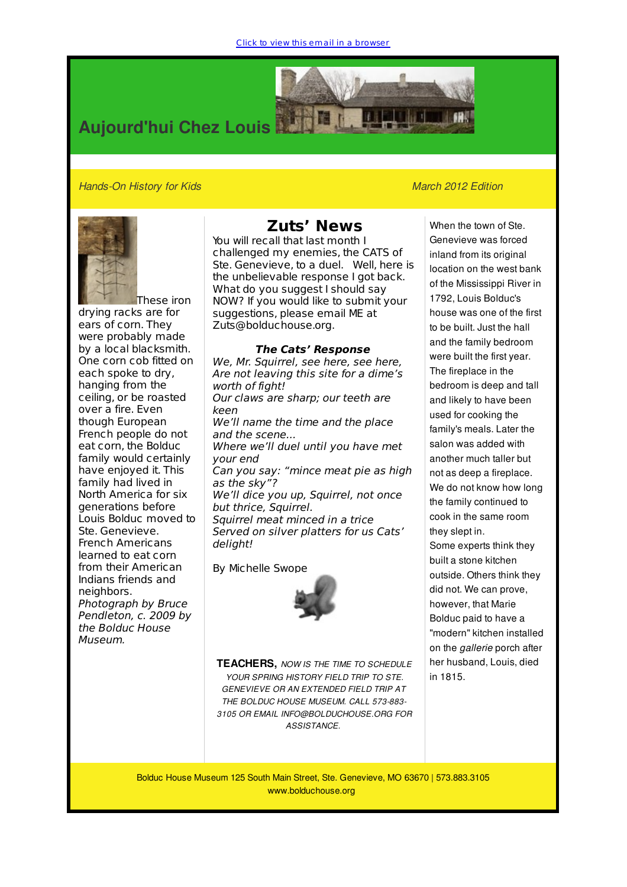

## *Hands-On History for Kids March 2012 Edition*



These iron drying racks are for ears of corn. They were probably made by a local blacksmith. One corn cob fitted on each spoke to dry, hanging from the ceiling, or be roasted over a fire. Even though European French people do not eat corn, the Bolduc family would certainly have enjoyed it. This family had lived in North America for six generations before Louis Bolduc moved to Ste. Genevieve. French Americans learned to eat corn from their American Indians friends and neighbors. Photograph by Bruce Pendleton, c. 2009 by the Bolduc House Museum.

## **Zuts' News**

You will recall that last month I challenged my enemies, the CATS of Ste. Genevieve, to a duel. Well, here is the unbelievable response I got back. What do you suggest I should say NOW? If you would like to submit your suggestions, please email ME at Zuts@bolduchouse.org.

## **The Cats' Response**

We, Mr. Squirrel, see here, see here, Are not leaving this site for a dime's worth of fight! Our claws are sharp; our teeth are keen We'll name the time and the place and the scene... Where we'll duel until you have met your end Can you say: "mince meat pie as high as the sky"? We'll dice you up, Squirrel, not once but thrice, Squirrel. Squirrel meat minced in a trice Served on silver platters for us Cats' deliaht!

By Michelle Swope



**TEACHERS,** *NOW IS THE TIME TO SCHEDULE YOUR SPRING HISTORY FIELD TRIP TO STE. GENEVIEVE OR AN EXTENDED FIELD TRIP AT THE BOLDUC HOUSE MUSEUM. CALL 573-883- 3105 OR EMAIL INFO@BOLDUCHOUSE.ORG FOR ASSISTANCE.*

When the town of Ste. Genevieve was forced inland from its original location on the west bank of the Mississippi River in 1792, Louis Bolduc's house was one of the first to be built. Just the hall and the family bedroom were built the first year. The fireplace in the bedroom is deep and tall and likely to have been used for cooking the family's meals. Later the salon was added with another much taller but not as deep a fireplace. We do not know how long the family continued to cook in the same room they slept in. Some experts think they built a stone kitchen outside. Others think they did not. We can prove, however, that Marie

Bolduc paid to have a "modern" kitchen installed on the *gallerie* porch after her husband, Louis, died in 1815.

Bolduc House Museum 125 South Main Street, Ste. Genevieve, MO 63670 | 573.883.3105 www.bolduchouse.org